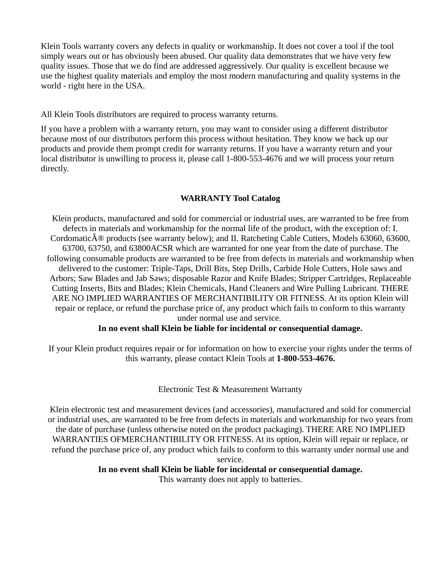Klein Tools warranty covers any defects in quality or workmanship. It does not cover a tool if the tool simply wears out or has obviously been abused. Our quality data demonstrates that we have very few quality issues. Those that we do find are addressed aggressively. Our quality is excellent because we use the highest quality materials and employ the most modern manufacturing and quality systems in the world - right here in the USA.

All Klein Tools distributors are required to process warranty returns.

If you have a problem with a warranty return, you may want to consider using a different distributor because most of our distributors perform this process without hesitation. They know we back up our products and provide them prompt credit for warranty returns. If you have a warranty return and your local distributor is unwilling to process it, please call 1-800-553-4676 and we will process your return directly.

# **WARRANTY Tool Catalog**

Klein products, manufactured and sold for commercial or industrial uses, are warranted to be free from defects in materials and workmanship for the normal life of the product, with the exception of: I. Cordomatic $\hat{A}$ <sup>®</sup> products (see warranty below); and II. Ratcheting Cable Cutters, Models 63060, 63600, 63700, 63750, and 63800ACSR which are warranted for one year from the date of purchase. The following consumable products are warranted to be free from defects in materials and workmanship when delivered to the customer: Triple-Taps, Drill Bits, Step Drills, Carbide Hole Cutters, Hole saws and Arbors; Saw Blades and Jab Saws; disposable Razor and Knife Blades; Stripper Cartridges, Replaceable Cutting Inserts, Bits and Blades; Klein Chemicals, Hand Cleaners and Wire Pulling Lubricant. THERE ARE NO IMPLIED WARRANTIES OF MERCHANTIBILITY OR FITNESS. At its option Klein will repair or replace, or refund the purchase price of, any product which fails to conform to this warranty under normal use and service.

## **In no event shall Klein be liable for incidental or consequential damage.**

If your Klein product requires repair or for information on how to exercise your rights under the terms of this warranty, please contact Klein Tools at **1-800-553-4676.**

## Electronic Test & Measurement Warranty

Klein electronic test and measurement devices (and accessories), manufactured and sold for commercial or industrial uses, are warranted to be free from defects in materials and workmanship for two years from the date of purchase (unless otherwise noted on the product packaging). THERE ARE NO IMPLIED WARRANTIES OFMERCHANTIBILITY OR FITNESS. At its option, Klein will repair or replace, or refund the purchase price of, any product which fails to conform to this warranty under normal use and service.

**In no event shall Klein be liable for incidental or consequential damage.**

This warranty does not apply to batteries.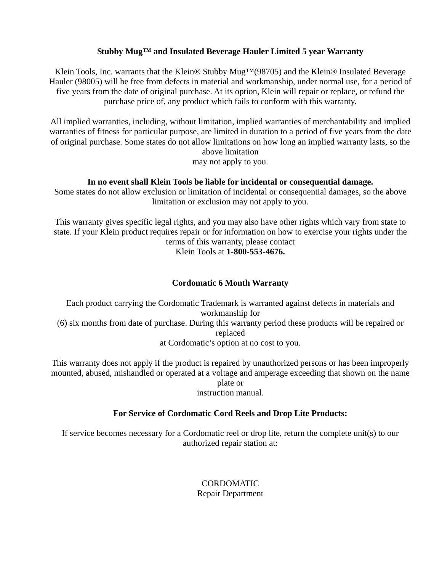## **Stubby Mug™ and Insulated Beverage Hauler Limited 5 year Warranty**

Klein Tools, Inc. warrants that the Klein® Stubby Mug<sup>TM</sup>(98705) and the Klein® Insulated Beverage Hauler (98005) will be free from defects in material and workmanship, under normal use, for a period of five years from the date of original purchase. At its option, Klein will repair or replace, or refund the purchase price of, any product which fails to conform with this warranty.

All implied warranties, including, without limitation, implied warranties of merchantability and implied warranties of fitness for particular purpose, are limited in duration to a period of five years from the date of original purchase. Some states do not allow limitations on how long an implied warranty lasts, so the above limitation

may not apply to you.

### **In no event shall Klein Tools be liable for incidental or consequential damage.**

Some states do not allow exclusion or limitation of incidental or consequential damages, so the above limitation or exclusion may not apply to you.

This warranty gives specific legal rights, and you may also have other rights which vary from state to state. If your Klein product requires repair or for information on how to exercise your rights under the terms of this warranty, please contact Klein Tools at **1-800-553-4676.**

### **Cordomatic 6 Month Warranty**

Each product carrying the Cordomatic Trademark is warranted against defects in materials and workmanship for (6) six months from date of purchase. During this warranty period these products will be repaired or replaced at Cordomatic's option at no cost to you.

This warranty does not apply if the product is repaired by unauthorized persons or has been improperly mounted, abused, mishandled or operated at a voltage and amperage exceeding that shown on the name plate or instruction manual.

## **For Service of Cordomatic Cord Reels and Drop Lite Products:**

If service becomes necessary for a Cordomatic reel or drop lite, return the complete unit(s) to our authorized repair station at:

> CORDOMATIC Repair Department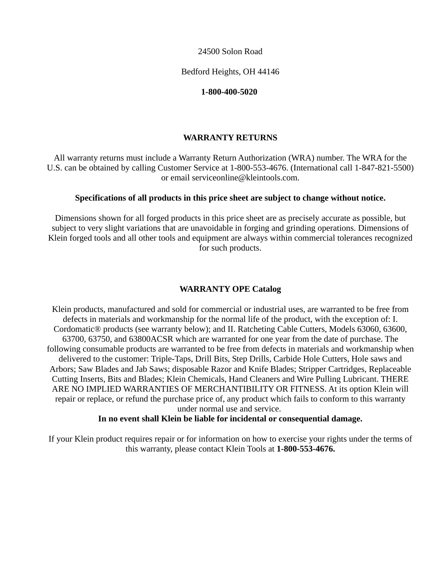24500 Solon Road

Bedford Heights, OH 44146

#### **1-800-400-5020**

### **WARRANTY RETURNS**

All warranty returns must include a Warranty Return Authorization (WRA) number. The WRA for the U.S. can be obtained by calling Customer Service at 1-800-553-4676. (International call 1-847-821-5500) or email serviceonline@kleintools.com.

#### **Specifications of all products in this price sheet are subject to change without notice.**

Dimensions shown for all forged products in this price sheet are as precisely accurate as possible, but subject to very slight variations that are unavoidable in forging and grinding operations. Dimensions of Klein forged tools and all other tools and equipment are always within commercial tolerances recognized for such products.

### **WARRANTY OPE Catalog**

Klein products, manufactured and sold for commercial or industrial uses, are warranted to be free from defects in materials and workmanship for the normal life of the product, with the exception of: I. Cordomatic® products (see warranty below); and II. Ratcheting Cable Cutters, Models 63060, 63600, 63700, 63750, and 63800ACSR which are warranted for one year from the date of purchase. The following consumable products are warranted to be free from defects in materials and workmanship when delivered to the customer: Triple-Taps, Drill Bits, Step Drills, Carbide Hole Cutters, Hole saws and Arbors; Saw Blades and Jab Saws; disposable Razor and Knife Blades; Stripper Cartridges, Replaceable Cutting Inserts, Bits and Blades; Klein Chemicals, Hand Cleaners and Wire Pulling Lubricant. THERE ARE NO IMPLIED WARRANTIES OF MERCHANTIBILITY OR FITNESS. At its option Klein will repair or replace, or refund the purchase price of, any product which fails to conform to this warranty under normal use and service.

#### **In no event shall Klein be liable for incidental or consequential damage.**

If your Klein product requires repair or for information on how to exercise your rights under the terms of this warranty, please contact Klein Tools at **1-800-553-4676.**